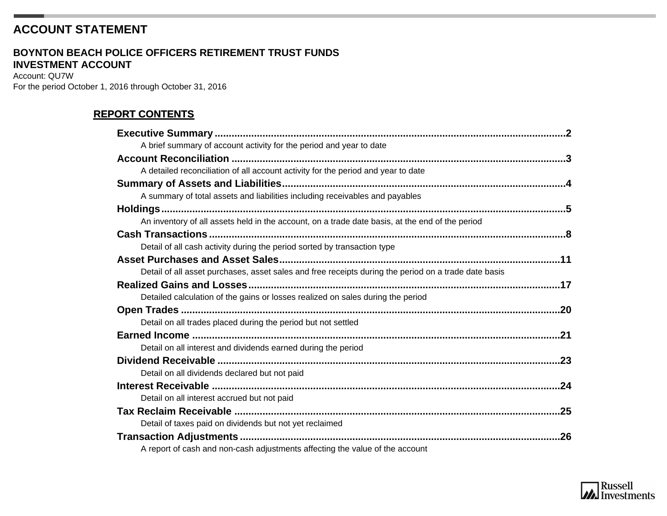# **ACCOUNT STATEMENT**

#### **INVESTMENT ACCOUNT BOYNTON BEACH POLICE OFFICERS RETIREMENT TRUST FUNDS**

Account: QU7W For the period October 1, 2016 through October 31, 2016

# **REPORT CONTENTS**

| A brief summary of account activity for the period and year to date                                  |     |
|------------------------------------------------------------------------------------------------------|-----|
|                                                                                                      |     |
| A detailed reconciliation of all account activity for the period and year to date                    |     |
|                                                                                                      |     |
| A summary of total assets and liabilities including receivables and payables                         |     |
|                                                                                                      |     |
| An inventory of all assets held in the account, on a trade date basis, at the end of the period      |     |
|                                                                                                      |     |
| Detail of all cash activity during the period sorted by transaction type                             |     |
|                                                                                                      |     |
| Detail of all asset purchases, asset sales and free receipts during the period on a trade date basis |     |
|                                                                                                      |     |
| Detailed calculation of the gains or losses realized on sales during the period                      |     |
|                                                                                                      |     |
| Detail on all trades placed during the period but not settled                                        |     |
|                                                                                                      | .21 |
| Detail on all interest and dividends earned during the period                                        |     |
|                                                                                                      |     |
| Detail on all dividends declared but not paid                                                        |     |
|                                                                                                      |     |
| Detail on all interest accrued but not paid                                                          |     |
|                                                                                                      |     |
| Detail of taxes paid on dividends but not yet reclaimed                                              |     |
|                                                                                                      |     |
| A report of cash and non-cash adjustments affecting the value of the account                         |     |

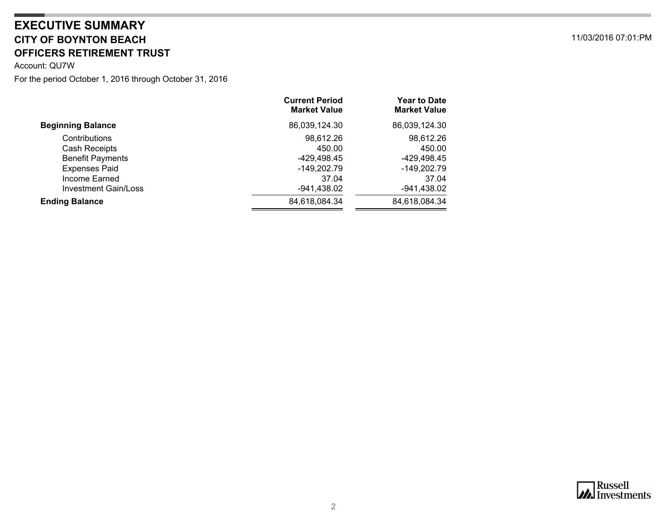## <span id="page-1-0"></span>**CITY OF BOYNTON BEACH** 11/03/2016 07:01:PM **OFFICERS RETIREMENT TRUST EXECUTIVE SUMMARY**

Account: QU7W

|                          | <b>Current Period</b><br><b>Market Value</b> | <b>Year to Date</b><br><b>Market Value</b> |
|--------------------------|----------------------------------------------|--------------------------------------------|
| <b>Beginning Balance</b> | 86,039,124.30                                | 86,039,124.30                              |
| Contributions            | 98,612.26                                    | 98,612.26                                  |
| Cash Receipts            | 450.00                                       | 450.00                                     |
| <b>Benefit Payments</b>  | -429.498.45                                  | -429,498.45                                |
| <b>Expenses Paid</b>     | -149,202.79                                  | $-149,202.79$                              |
| Income Earned            | 37.04                                        | 37.04                                      |
| Investment Gain/Loss     | $-941,438.02$                                | $-941,438.02$                              |
| <b>Ending Balance</b>    | 84,618,084.34                                | 84,618,084.34                              |
|                          |                                              |                                            |

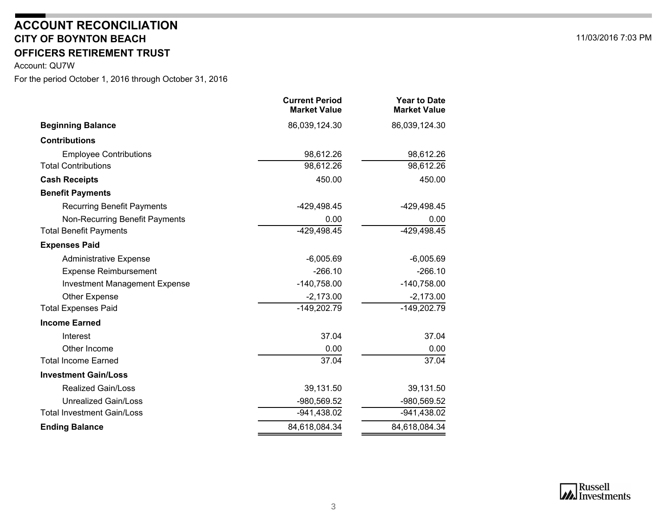# **CITY OF BOYNTON BEACHACCOUNT RECONCILIATION**

# **OFFICERS RETIREMENT TRUST**

<span id="page-2-0"></span>Account: QU7W

|                                      | <b>Current Period</b><br><b>Market Value</b> | <b>Year to Date</b><br><b>Market Value</b> |
|--------------------------------------|----------------------------------------------|--------------------------------------------|
| <b>Beginning Balance</b>             | 86,039,124.30                                | 86,039,124.30                              |
| <b>Contributions</b>                 |                                              |                                            |
| <b>Employee Contributions</b>        | 98,612.26                                    | 98,612.26                                  |
| <b>Total Contributions</b>           | 98,612.26                                    | 98,612.26                                  |
| <b>Cash Receipts</b>                 | 450.00                                       | 450.00                                     |
| <b>Benefit Payments</b>              |                                              |                                            |
| <b>Recurring Benefit Payments</b>    | $-429,498.45$                                | -429,498.45                                |
| Non-Recurring Benefit Payments       | 0.00                                         | 0.00                                       |
| <b>Total Benefit Payments</b>        | $-429,498.45$                                | $-429, 498.45$                             |
| <b>Expenses Paid</b>                 |                                              |                                            |
| <b>Administrative Expense</b>        | $-6,005.69$                                  | $-6,005.69$                                |
| <b>Expense Reimbursement</b>         | $-266.10$                                    | $-266.10$                                  |
| <b>Investment Management Expense</b> | $-140,758.00$                                | $-140,758.00$                              |
| <b>Other Expense</b>                 | $-2,173.00$                                  | $-2,173.00$                                |
| <b>Total Expenses Paid</b>           | $-149,202.79$                                | $-149,202.79$                              |
| <b>Income Earned</b>                 |                                              |                                            |
| Interest                             | 37.04                                        | 37.04                                      |
| Other Income                         | 0.00                                         | 0.00                                       |
| <b>Total Income Earned</b>           | 37.04                                        | 37.04                                      |
| <b>Investment Gain/Loss</b>          |                                              |                                            |
| <b>Realized Gain/Loss</b>            | 39,131.50                                    | 39,131.50                                  |
| <b>Unrealized Gain/Loss</b>          | $-980,569.52$                                | -980,569.52                                |
| <b>Total Investment Gain/Loss</b>    | $-941,438.02$                                | $-941,438.02$                              |
| <b>Ending Balance</b>                | 84,618,084.34                                | 84,618,084.34                              |
|                                      |                                              |                                            |

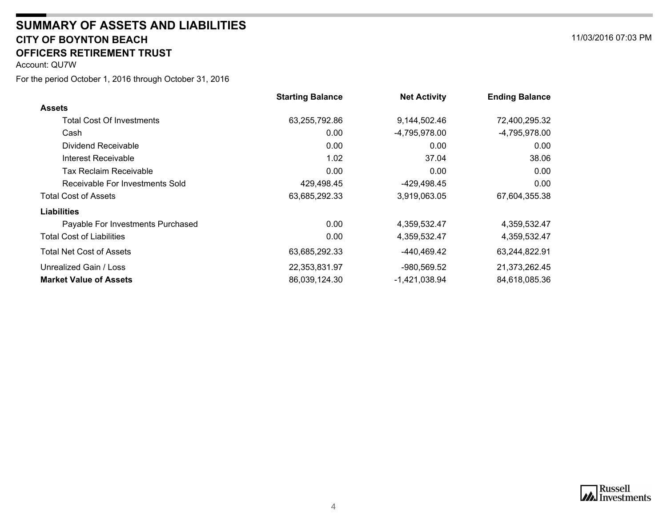#### **CITY OF BOYNTON BEACH** 11/03/2016 07:03 PM **SUMMARY OF ASSETS AND LIABILITIESOFFICERS RETIREMENT TRUST**

<span id="page-3-0"></span>Account: QU7W

|                                   | <b>Starting Balance</b> | <b>Net Activity</b> | <b>Ending Balance</b> |
|-----------------------------------|-------------------------|---------------------|-----------------------|
| <b>Assets</b>                     |                         |                     |                       |
| <b>Total Cost Of Investments</b>  | 63,255,792.86           | 9,144,502.46        | 72,400,295.32         |
| Cash                              | 0.00                    | $-4,795,978.00$     | $-4,795,978.00$       |
| Dividend Receivable               | 0.00                    | 0.00                | 0.00                  |
| Interest Receivable               | 1.02                    | 37.04               | 38.06                 |
| <b>Tax Reclaim Receivable</b>     | 0.00                    | 0.00                | 0.00                  |
| Receivable For Investments Sold   | 429,498.45              | -429,498.45         | 0.00                  |
| <b>Total Cost of Assets</b>       | 63,685,292.33           | 3,919,063.05        | 67,604,355.38         |
| <b>Liabilities</b>                |                         |                     |                       |
| Payable For Investments Purchased | 0.00                    | 4,359,532.47        | 4,359,532.47          |
| <b>Total Cost of Liabilities</b>  | 0.00                    | 4,359,532.47        | 4,359,532.47          |
| Total Net Cost of Assets          | 63,685,292.33           | -440,469.42         | 63,244,822.91         |
| Unrealized Gain / Loss            | 22,353,831.97           | $-980,569.52$       | 21,373,262.45         |
| <b>Market Value of Assets</b>     | 86,039,124.30           | -1,421,038.94       | 84,618,085.36         |



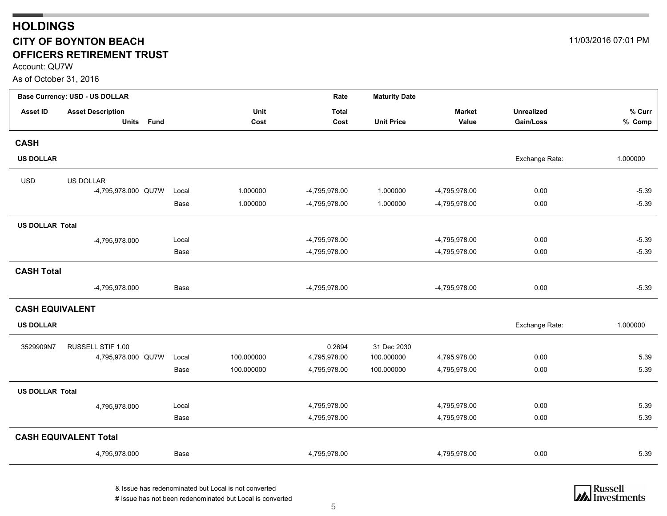## <span id="page-4-0"></span>**HOLDINGS CITY OF BOYNTON BEACH** 11/03/2016 07:01 PM **OFFICERS RETIREMENT TRUST**

Account: QU7W

As of October 31, 2016

|                        | <b>Base Currency: USD - US DOLLAR</b> |             |            | Rate          | <b>Maturity Date</b> |               |                   |          |
|------------------------|---------------------------------------|-------------|------------|---------------|----------------------|---------------|-------------------|----------|
| <b>Asset ID</b>        | <b>Asset Description</b>              |             | Unit       | <b>Total</b>  |                      | <b>Market</b> | <b>Unrealized</b> | % Curr   |
|                        | <b>Units</b><br><b>Fund</b>           |             | Cost       | Cost          | <b>Unit Price</b>    | Value         | Gain/Loss         | % Comp   |
| <b>CASH</b>            |                                       |             |            |               |                      |               |                   |          |
| <b>US DOLLAR</b>       |                                       |             |            |               |                      |               | Exchange Rate:    | 1.000000 |
| <b>USD</b>             | <b>US DOLLAR</b>                      |             |            |               |                      |               |                   |          |
|                        | -4,795,978.000 QU7W                   | Local       | 1.000000   | -4,795,978.00 | 1.000000             | -4,795,978.00 | 0.00              | $-5.39$  |
|                        |                                       | <b>Base</b> | 1.000000   | -4,795,978.00 | 1.000000             | -4,795,978.00 | 0.00              | $-5.39$  |
| <b>US DOLLAR Total</b> |                                       |             |            |               |                      |               |                   |          |
|                        | -4,795,978.000                        | Local       |            | -4,795,978.00 |                      | -4,795,978.00 | 0.00              | $-5.39$  |
|                        |                                       | Base        |            | -4,795,978.00 |                      | -4,795,978.00 | 0.00              | $-5.39$  |
| <b>CASH Total</b>      |                                       |             |            |               |                      |               |                   |          |
|                        | -4,795,978.000                        | Base        |            | -4,795,978.00 |                      | -4,795,978.00 | 0.00              | $-5.39$  |
| <b>CASH EQUIVALENT</b> |                                       |             |            |               |                      |               |                   |          |
| <b>US DOLLAR</b>       |                                       |             |            |               |                      |               | Exchange Rate:    | 1.000000 |
| 3529909N7              | RUSSELL STIF 1.00                     |             |            | 0.2694        | 31 Dec 2030          |               |                   |          |
|                        | 4,795,978.000 QU7W                    | Local       | 100.000000 | 4,795,978.00  | 100.000000           | 4,795,978.00  | 0.00              | 5.39     |
|                        |                                       | Base        | 100.000000 | 4,795,978.00  | 100.000000           | 4,795,978.00  | 0.00              | 5.39     |
| <b>US DOLLAR Total</b> |                                       |             |            |               |                      |               |                   |          |
|                        | 4,795,978.000                         | Local       |            | 4,795,978.00  |                      | 4,795,978.00  | 0.00              | 5.39     |
|                        |                                       | Base        |            | 4,795,978.00  |                      | 4,795,978.00  | 0.00              | 5.39     |
|                        | <b>CASH EQUIVALENT Total</b>          |             |            |               |                      |               |                   |          |
|                        | 4,795,978.000                         | Base        |            | 4,795,978.00  |                      | 4,795,978.00  | 0.00              | 5.39     |

& Issue has redenominated but Local is not converted # Issue has not been redenominated but Local is converted

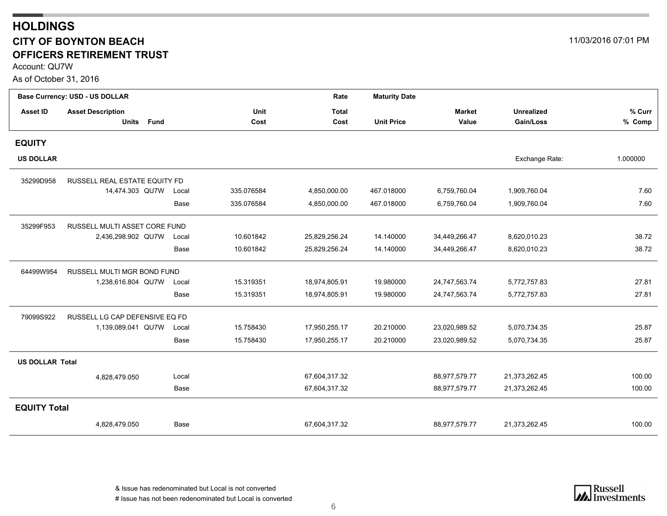## **HOLDINGS CITY OF BOYNTON BEACH** 11/03/2016 07:01 PM **OFFICERS RETIREMENT TRUST**

Account: QU7W

As of October 31, 2016

|                        | Base Currency: USD - US DOLLAR |       |            | Rate          | <b>Maturity Date</b> |               |                   |          |
|------------------------|--------------------------------|-------|------------|---------------|----------------------|---------------|-------------------|----------|
| <b>Asset ID</b>        | <b>Asset Description</b>       |       | Unit       | Total         |                      | <b>Market</b> | <b>Unrealized</b> | % Curr   |
|                        | <b>Fund</b><br><b>Units</b>    |       | Cost       | Cost          | <b>Unit Price</b>    | Value         | Gain/Loss         | % Comp   |
| <b>EQUITY</b>          |                                |       |            |               |                      |               |                   |          |
| <b>US DOLLAR</b>       |                                |       |            |               |                      |               | Exchange Rate:    | 1.000000 |
| 35299D958              | RUSSELL REAL ESTATE EQUITY FD  |       |            |               |                      |               |                   |          |
|                        | 14,474.303 QU7W                | Local | 335.076584 | 4,850,000.00  | 467.018000           | 6,759,760.04  | 1,909,760.04      | 7.60     |
|                        |                                | Base  | 335.076584 | 4,850,000.00  | 467.018000           | 6,759,760.04  | 1,909,760.04      | 7.60     |
| 35299F953              | RUSSELL MULTI ASSET CORE FUND  |       |            |               |                      |               |                   |          |
|                        | 2,436,298.902 QU7W             | Local | 10.601842  | 25,829,256.24 | 14.140000            | 34,449,266.47 | 8,620,010.23      | 38.72    |
|                        |                                | Base  | 10.601842  | 25,829,256.24 | 14.140000            | 34,449,266.47 | 8,620,010.23      | 38.72    |
| 64499W954              | RUSSELL MULTI MGR BOND FUND    |       |            |               |                      |               |                   |          |
|                        | 1,238,616.804 QU7W             | Local | 15.319351  | 18,974,805.91 | 19.980000            | 24,747,563.74 | 5,772,757.83      | 27.81    |
|                        |                                | Base  | 15.319351  | 18,974,805.91 | 19.980000            | 24,747,563.74 | 5,772,757.83      | 27.81    |
| 79099S922              | RUSSELL LG CAP DEFENSIVE EQ FD |       |            |               |                      |               |                   |          |
|                        | 1,139,089.041 QU7W             | Local | 15.758430  | 17,950,255.17 | 20.210000            | 23,020,989.52 | 5,070,734.35      | 25.87    |
|                        |                                | Base  | 15.758430  | 17,950,255.17 | 20.210000            | 23,020,989.52 | 5,070,734.35      | 25.87    |
| <b>US DOLLAR Total</b> |                                |       |            |               |                      |               |                   |          |
|                        | 4,828,479.050                  | Local |            | 67,604,317.32 |                      | 88,977,579.77 | 21,373,262.45     | 100.00   |
|                        |                                | Base  |            | 67,604,317.32 |                      | 88,977,579.77 | 21,373,262.45     | 100.00   |
| <b>EQUITY Total</b>    |                                |       |            |               |                      |               |                   |          |
|                        | 4,828,479.050                  | Base  |            | 67,604,317.32 |                      | 88,977,579.77 | 21,373,262.45     | 100.00   |

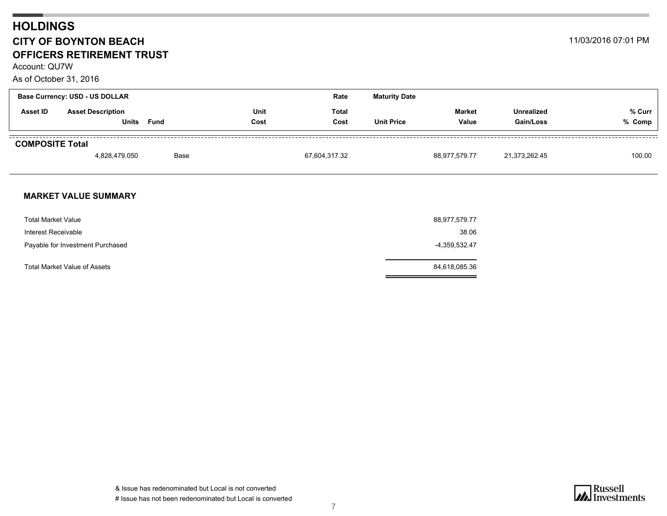## **HOLDINGS CITY OF BOYNTON BEACH** 11/03/2016 07:01 PM **OFFICERS RETIREMENT TRUST**

Account: QU7W

As of October 31, 2016

|                        | <b>Base Currency: USD - US DOLLAR</b> |      |              | Rate                 | <b>Maturity Date</b> |                 |                                |                  |
|------------------------|---------------------------------------|------|--------------|----------------------|----------------------|-----------------|--------------------------------|------------------|
| <b>Asset ID</b>        | <b>Asset Description</b><br>Units     | Fund | Unit<br>Cost | <b>Total</b><br>Cost | <b>Unit Price</b>    | Market<br>Value | <b>Unrealized</b><br>Gain/Loss | % Curr<br>% Comp |
| <b>COMPOSITE Total</b> | 4,828,479.050                         | Base |              | 67,604,317.32        |                      | 88,977,579.77   | 21,373,262.45                  | 100.00           |

#### **MARKET VALUE SUMMARY**

| <b>Total Market Value</b>        | 88,977,579.77 |
|----------------------------------|---------------|
| Interest Receivable              | 38.06         |
| Payable for Investment Purchased | -4,359,532.47 |
| Total Market Value of Assets     | 84,618,085.36 |

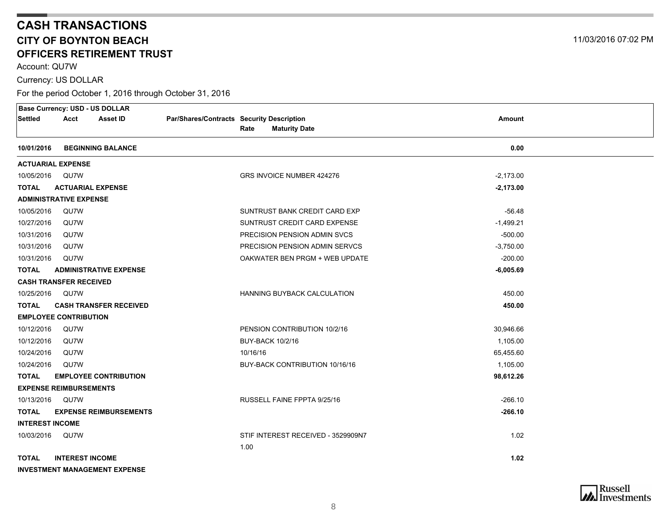# **CASH TRANSACTIONS CITY OF BOYNTON BEACHOFFICERS RETIREMENT TRUST**

Account: QU7W

Currency: US DOLLAR

<span id="page-7-0"></span>

|                        |                               | <b>Base Currency: USD - US DOLLAR</b> |                                           |          |                                    |               |  |
|------------------------|-------------------------------|---------------------------------------|-------------------------------------------|----------|------------------------------------|---------------|--|
| Settled                | Acct                          | <b>Asset ID</b>                       | Par/Shares/Contracts Security Description |          |                                    | <b>Amount</b> |  |
|                        |                               |                                       |                                           | Rate     | <b>Maturity Date</b>               |               |  |
| 10/01/2016             |                               | <b>BEGINNING BALANCE</b>              |                                           |          |                                    | 0.00          |  |
|                        | <b>ACTUARIAL EXPENSE</b>      |                                       |                                           |          |                                    |               |  |
| 10/05/2016 QU7W        |                               |                                       |                                           |          | GRS INVOICE NUMBER 424276          | $-2,173.00$   |  |
| <b>TOTAL</b>           | <b>ACTUARIAL EXPENSE</b>      |                                       |                                           |          |                                    | $-2,173.00$   |  |
|                        | <b>ADMINISTRATIVE EXPENSE</b> |                                       |                                           |          |                                    |               |  |
| 10/05/2016             | QU7W                          |                                       |                                           |          | SUNTRUST BANK CREDIT CARD EXP      | $-56.48$      |  |
| 10/27/2016             | QU7W                          |                                       |                                           |          | SUNTRUST CREDIT CARD EXPENSE       | $-1,499.21$   |  |
| 10/31/2016             | QU7W                          |                                       |                                           |          | PRECISION PENSION ADMIN SVCS       | $-500.00$     |  |
| 10/31/2016             | QU7W                          |                                       |                                           |          | PRECISION PENSION ADMIN SERVCS     | $-3,750.00$   |  |
| 10/31/2016             | QU7W                          |                                       |                                           |          | OAKWATER BEN PRGM + WEB UPDATE     | $-200.00$     |  |
| <b>TOTAL</b>           |                               | <b>ADMINISTRATIVE EXPENSE</b>         |                                           |          |                                    | $-6,005.69$   |  |
|                        | <b>CASH TRANSFER RECEIVED</b> |                                       |                                           |          |                                    |               |  |
| 10/25/2016             | QU7W                          |                                       |                                           |          | <b>HANNING BUYBACK CALCULATION</b> | 450.00        |  |
| <b>TOTAL</b>           |                               | <b>CASH TRANSFER RECEIVED</b>         |                                           |          |                                    | 450.00        |  |
|                        | <b>EMPLOYEE CONTRIBUTION</b>  |                                       |                                           |          |                                    |               |  |
| 10/12/2016             | QU7W                          |                                       |                                           |          | PENSION CONTRIBUTION 10/2/16       | 30,946.66     |  |
| 10/12/2016             | QU7W                          |                                       |                                           |          | <b>BUY-BACK 10/2/16</b>            | 1,105.00      |  |
| 10/24/2016             | QU7W                          |                                       |                                           | 10/16/16 |                                    | 65,455.60     |  |
| 10/24/2016             | QU7W                          |                                       |                                           |          | BUY-BACK CONTRIBUTION 10/16/16     | 1,105.00      |  |
| <b>TOTAL</b>           |                               | <b>EMPLOYEE CONTRIBUTION</b>          |                                           |          |                                    | 98,612.26     |  |
|                        | <b>EXPENSE REIMBURSEMENTS</b> |                                       |                                           |          |                                    |               |  |
| 10/13/2016             | QU7W                          |                                       |                                           |          | RUSSELL FAINE FPPTA 9/25/16        | $-266.10$     |  |
| <b>TOTAL</b>           |                               | <b>EXPENSE REIMBURSEMENTS</b>         |                                           |          |                                    | $-266.10$     |  |
| <b>INTEREST INCOME</b> |                               |                                       |                                           |          |                                    |               |  |
| 10/03/2016 QU7W        |                               |                                       |                                           |          | STIF INTEREST RECEIVED - 3529909N7 | 1.02          |  |
|                        |                               |                                       |                                           | 1.00     |                                    |               |  |
| <b>TOTAL</b>           | <b>INTEREST INCOME</b>        |                                       |                                           |          |                                    | 1.02          |  |
|                        |                               | <b>INVESTMENT MANAGEMENT EXPENSE</b>  |                                           |          |                                    |               |  |



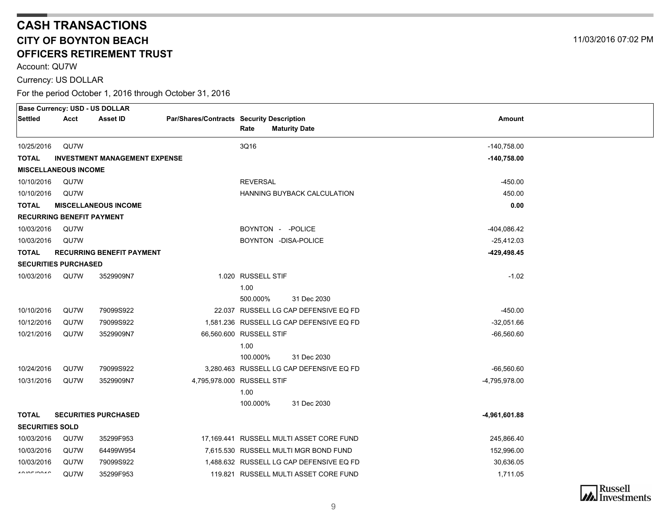# **CASH TRANSACTIONS CITY OF BOYNTON BEACHOFFICERS RETIREMENT TRUST**

Account: QU7W

Currency: US DOLLAR

|                          | <b>Base Currency: USD - US DOLLAR</b> |                                      |                                           |                    |                                                                                   |                           |  |
|--------------------------|---------------------------------------|--------------------------------------|-------------------------------------------|--------------------|-----------------------------------------------------------------------------------|---------------------------|--|
| <b>Settled</b>           | Acct                                  | Asset ID                             | Par/Shares/Contracts Security Description |                    |                                                                                   | Amount                    |  |
|                          |                                       |                                      |                                           | Rate               | <b>Maturity Date</b>                                                              |                           |  |
| 10/25/2016               | QU7W                                  |                                      |                                           | 3Q16               |                                                                                   | $-140,758.00$             |  |
| <b>TOTAL</b>             |                                       | <b>INVESTMENT MANAGEMENT EXPENSE</b> |                                           |                    |                                                                                   | $-140,758.00$             |  |
|                          | <b>MISCELLANEOUS INCOME</b>           |                                      |                                           |                    |                                                                                   |                           |  |
| 10/10/2016               | QU7W                                  |                                      |                                           | <b>REVERSAL</b>    |                                                                                   | -450.00                   |  |
| 10/10/2016               | QU7W                                  |                                      |                                           |                    | <b>HANNING BUYBACK CALCULATION</b>                                                | 450.00                    |  |
| TOTAL                    |                                       | <b>MISCELLANEOUS INCOME</b>          |                                           |                    |                                                                                   | 0.00                      |  |
|                          | <b>RECURRING BENEFIT PAYMENT</b>      |                                      |                                           |                    |                                                                                   |                           |  |
| 10/03/2016               | QU7W                                  |                                      |                                           |                    | BOYNTON - - POLICE                                                                | -404,086.42               |  |
| 10/03/2016               | QU7W                                  |                                      |                                           |                    | BOYNTON -DISA-POLICE                                                              | $-25,412.03$              |  |
| <b>TOTAL</b>             |                                       | <b>RECURRING BENEFIT PAYMENT</b>     |                                           |                    |                                                                                   | -429,498.45               |  |
|                          | <b>SECURITIES PURCHASED</b>           |                                      |                                           |                    |                                                                                   |                           |  |
| 10/03/2016               | QU7W                                  | 3529909N7                            |                                           | 1.020 RUSSELL STIF |                                                                                   | $-1.02$                   |  |
|                          |                                       |                                      |                                           | 1.00               |                                                                                   |                           |  |
|                          |                                       |                                      |                                           | 500.000%           | 31 Dec 2030                                                                       |                           |  |
| 10/10/2016               | QU7W<br>QU7W                          | 79099S922<br>79099S922               |                                           |                    | 22.037 RUSSELL LG CAP DEFENSIVE EQ FD<br>1,581.236 RUSSELL LG CAP DEFENSIVE EQ FD | $-450.00$<br>$-32,051.66$ |  |
| 10/12/2016<br>10/21/2016 | QU7W                                  | 3529909N7                            | 66,560,600 RUSSELL STIF                   |                    |                                                                                   | $-66,560.60$              |  |
|                          |                                       |                                      |                                           | 1.00               |                                                                                   |                           |  |
|                          |                                       |                                      |                                           | 100.000%           | 31 Dec 2030                                                                       |                           |  |
| 10/24/2016               | QU7W                                  | 79099S922                            |                                           |                    | 3.280.463 RUSSELL LG CAP DEFENSIVE EQ FD                                          | $-66,560.60$              |  |
| 10/31/2016               | QU7W                                  | 3529909N7                            | 4,795,978.000 RUSSELL STIF                |                    |                                                                                   | -4,795,978.00             |  |
|                          |                                       |                                      |                                           | 1.00               |                                                                                   |                           |  |
|                          |                                       |                                      |                                           | 100.000%           | 31 Dec 2030                                                                       |                           |  |
| <b>TOTAL</b>             |                                       | <b>SECURITIES PURCHASED</b>          |                                           |                    |                                                                                   | -4,961,601.88             |  |
| <b>SECURITIES SOLD</b>   |                                       |                                      |                                           |                    |                                                                                   |                           |  |
| 10/03/2016               | QU7W                                  | 35299F953                            |                                           |                    | 17,169.441 RUSSELL MULTI ASSET CORE FUND                                          | 245,866.40                |  |
| 10/03/2016               | QU7W                                  | 64499W954                            |                                           |                    | 7,615.530 RUSSELL MULTI MGR BOND FUND                                             | 152,996.00                |  |
| 10/03/2016               | QU7W                                  | 79099S922                            |                                           |                    | 1,488.632 RUSSELL LG CAP DEFENSIVE EQ FD                                          | 30,636.05                 |  |
| 100000000                | QU7W                                  | 35299F953                            |                                           |                    | 119.821 RUSSELL MULTI ASSET CORE FUND                                             | 1,711.05                  |  |
|                          |                                       |                                      |                                           |                    |                                                                                   |                           |  |

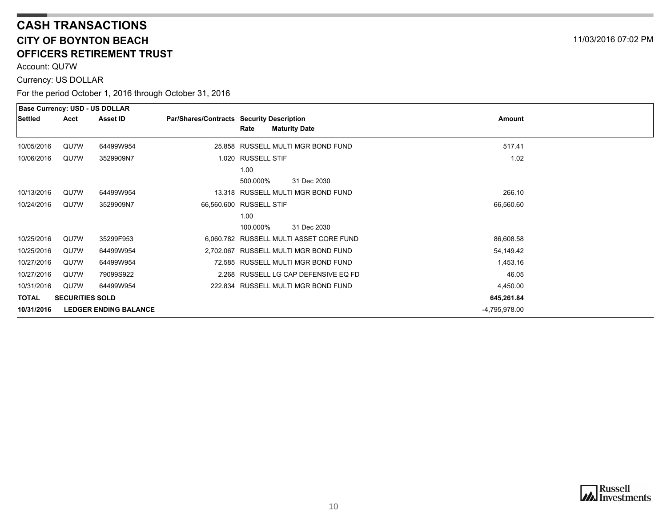# **CASH TRANSACTIONS CITY OF BOYNTON BEACHOFFICERS RETIREMENT TRUST**

Account: QU7W

Currency: US DOLLAR

|              |                        | <b>Base Currency: USD - US DOLLAR</b> |                                           |                    |                                         |               |  |
|--------------|------------------------|---------------------------------------|-------------------------------------------|--------------------|-----------------------------------------|---------------|--|
| Settled      | Acct                   | <b>Asset ID</b>                       | Par/Shares/Contracts Security Description |                    |                                         | Amount        |  |
|              |                        |                                       |                                           | Rate               | <b>Maturity Date</b>                    |               |  |
| 10/05/2016   | QU7W                   | 64499W954                             |                                           |                    | 25.858 RUSSELL MULTI MGR BOND FUND      | 517.41        |  |
| 10/06/2016   | QU7W                   | 3529909N7                             |                                           | 1.020 RUSSELL STIF |                                         | 1.02          |  |
|              |                        |                                       |                                           | 1.00               |                                         |               |  |
|              |                        |                                       |                                           | 500.000%           | 31 Dec 2030                             |               |  |
| 10/13/2016   | QU7W                   | 64499W954                             |                                           |                    | 13.318 RUSSELL MULTI MGR BOND FUND      | 266.10        |  |
| 10/24/2016   | QU7W                   | 3529909N7                             | 66,560.600 RUSSELL STIF                   |                    |                                         | 66,560.60     |  |
|              |                        |                                       |                                           | 1.00               |                                         |               |  |
|              |                        |                                       |                                           | 100.000%           | 31 Dec 2030                             |               |  |
| 10/25/2016   | QU7W                   | 35299F953                             |                                           |                    | 6,060.782 RUSSELL MULTI ASSET CORE FUND | 86,608.58     |  |
| 10/25/2016   | QU7W                   | 64499W954                             |                                           |                    | 2,702.067 RUSSELL MULTI MGR BOND FUND   | 54,149.42     |  |
| 10/27/2016   | QU7W                   | 64499W954                             |                                           |                    | 72.585 RUSSELL MULTI MGR BOND FUND      | 1,453.16      |  |
| 10/27/2016   | QU7W                   | 79099S922                             |                                           |                    | 2.268 RUSSELL LG CAP DEFENSIVE EQ FD    | 46.05         |  |
| 10/31/2016   | QU7W                   | 64499W954                             |                                           |                    | 222.834 RUSSELL MULTI MGR BOND FUND     | 4,450.00      |  |
| <b>TOTAL</b> | <b>SECURITIES SOLD</b> |                                       |                                           |                    |                                         | 645,261.84    |  |
| 10/31/2016   |                        | <b>LEDGER ENDING BALANCE</b>          |                                           |                    |                                         | -4,795,978.00 |  |

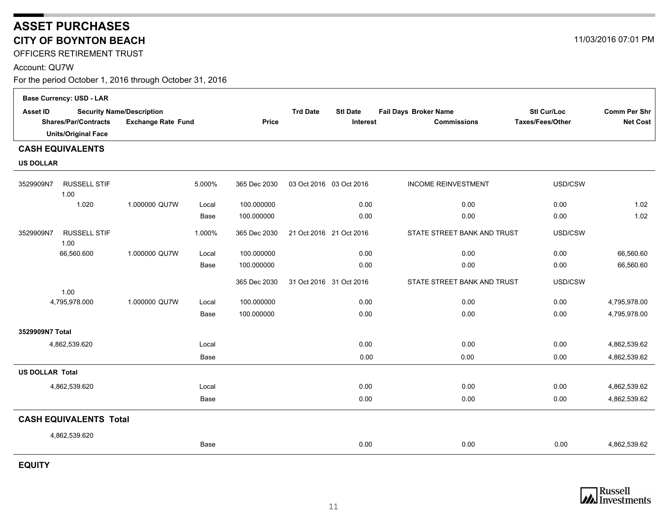# <span id="page-10-0"></span>**ASSET PURCHASES CITY OF BOYNTON BEACH**

OFFICERS RETIREMENT TRUST

Account: QU7W

For the period October 1, 2016 through October 31, 2016

|                        | <b>Base Currency: USD - LAR</b> |                                  |             |              |                         |                 |                                             |                                               |                                        |
|------------------------|---------------------------------|----------------------------------|-------------|--------------|-------------------------|-----------------|---------------------------------------------|-----------------------------------------------|----------------------------------------|
| <b>Asset ID</b>        | <b>Shares/Par/Contracts</b>     | <b>Security Name/Description</b> |             | Price        | <b>Trd Date</b>         | <b>Stl Date</b> | Fail Days Broker Name<br><b>Commissions</b> | <b>Stl Cur/Loc</b><br><b>Taxes/Fees/Other</b> | <b>Comm Per Shr</b><br><b>Net Cost</b> |
|                        | <b>Units/Original Face</b>      | <b>Exchange Rate Fund</b>        |             |              |                         | <b>Interest</b> |                                             |                                               |                                        |
|                        | <b>CASH EQUIVALENTS</b>         |                                  |             |              |                         |                 |                                             |                                               |                                        |
| <b>US DOLLAR</b>       |                                 |                                  |             |              |                         |                 |                                             |                                               |                                        |
| 3529909N7              | <b>RUSSELL STIF</b><br>1.00     |                                  | 5.000%      | 365 Dec 2030 | 03 Oct 2016 03 Oct 2016 |                 | <b>INCOME REINVESTMENT</b>                  | USD/CSW                                       |                                        |
|                        | 1.020                           | 1.000000 QU7W                    | Local       | 100.000000   |                         | 0.00            | 0.00                                        | 0.00                                          | 1.02                                   |
|                        |                                 |                                  | Base        | 100.000000   |                         | 0.00            | 0.00                                        | 0.00                                          | 1.02                                   |
| 3529909N7              | <b>RUSSELL STIF</b><br>1.00     |                                  | 1.000%      | 365 Dec 2030 | 21 Oct 2016 21 Oct 2016 |                 | STATE STREET BANK AND TRUST                 | USD/CSW                                       |                                        |
|                        | 66,560.600                      | 1.000000 QU7W                    | Local       | 100.000000   |                         | 0.00            | 0.00                                        | 0.00                                          | 66,560.60                              |
|                        |                                 |                                  | Base        | 100.000000   |                         | 0.00            | 0.00                                        | 0.00                                          | 66,560.60                              |
|                        | 1.00                            |                                  |             | 365 Dec 2030 | 31 Oct 2016 31 Oct 2016 |                 | STATE STREET BANK AND TRUST                 | USD/CSW                                       |                                        |
|                        | 4,795,978.000                   | 1.000000 QU7W                    | Local       | 100.000000   |                         | 0.00            | 0.00                                        | 0.00                                          | 4,795,978.00                           |
|                        |                                 |                                  | Base        | 100.000000   |                         | 0.00            | 0.00                                        | 0.00                                          | 4,795,978.00                           |
| 3529909N7 Total        |                                 |                                  |             |              |                         |                 |                                             |                                               |                                        |
|                        | 4,862,539.620                   |                                  | Local       |              |                         | 0.00            | 0.00                                        | 0.00                                          | 4,862,539.62                           |
|                        |                                 |                                  | Base        |              |                         | 0.00            | 0.00                                        | 0.00                                          | 4,862,539.62                           |
| <b>US DOLLAR Total</b> |                                 |                                  |             |              |                         |                 |                                             |                                               |                                        |
|                        | 4,862,539.620                   |                                  | Local       |              |                         | 0.00            | 0.00                                        | 0.00                                          | 4,862,539.62                           |
|                        |                                 |                                  | <b>Base</b> |              |                         | 0.00            | 0.00                                        | 0.00                                          | 4,862,539.62                           |
|                        | <b>CASH EQUIVALENTS Total</b>   |                                  |             |              |                         |                 |                                             |                                               |                                        |
|                        | 4,862,539.620                   |                                  |             |              |                         |                 |                                             |                                               |                                        |
|                        |                                 |                                  | Base        |              |                         | 0.00            | 0.00                                        | 0.00                                          | 4,862,539.62                           |

**EQUITY**



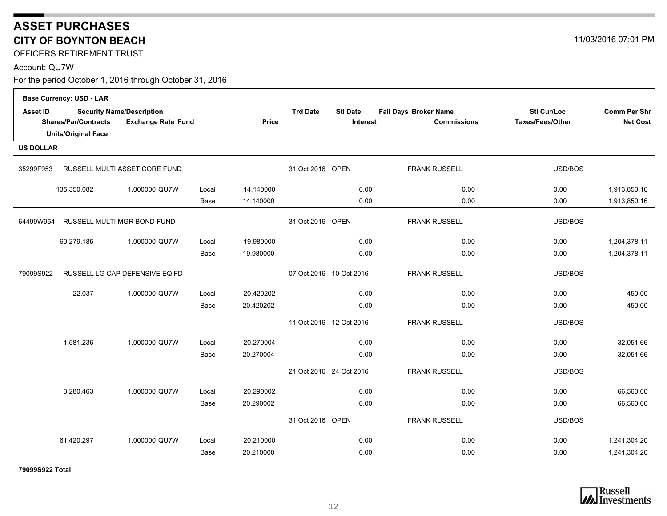# **ASSET PURCHASES CITY OF BOYNTON BEACH**

OFFICERS RETIREMENT TRUST

#### Account: QU7W

For the period October 1, 2016 through October 31, 2016

|                  | <b>Base Currency: USD - LAR</b>                           |                                                               |       |                         |                         |                                    |                                             |                                        |                                 |
|------------------|-----------------------------------------------------------|---------------------------------------------------------------|-------|-------------------------|-------------------------|------------------------------------|---------------------------------------------|----------------------------------------|---------------------------------|
| <b>Asset ID</b>  | <b>Shares/Par/Contracts</b><br><b>Units/Original Face</b> | <b>Security Name/Description</b><br><b>Exchange Rate Fund</b> |       | <b>Price</b>            | <b>Trd Date</b>         | <b>Stl Date</b><br><b>Interest</b> | Fail Days Broker Name<br><b>Commissions</b> | Stl Cur/Loc<br><b>Taxes/Fees/Other</b> | Comm Per Shr<br><b>Net Cost</b> |
| <b>US DOLLAR</b> |                                                           |                                                               |       |                         |                         |                                    |                                             |                                        |                                 |
| 35299F953        |                                                           | RUSSELL MULTI ASSET CORE FUND                                 |       |                         | 31 Oct 2016 OPEN        |                                    | <b>FRANK RUSSELL</b>                        | USD/BOS                                |                                 |
|                  | 135,350.082                                               | 1.000000 QU7W                                                 | Local | 14.140000               |                         | 0.00                               | 0.00                                        | 0.00                                   | 1,913,850.16                    |
|                  |                                                           |                                                               | Base  | 14.140000               |                         | 0.00                               | 0.00                                        | 0.00                                   | 1,913,850.16                    |
| 64499W954        | RUSSELL MULTI MGR BOND FUND                               |                                                               |       |                         | 31 Oct 2016 OPEN        |                                    | <b>FRANK RUSSELL</b>                        | USD/BOS                                |                                 |
|                  | 60,279.185                                                | 1.000000 QU7W                                                 | Local | 19.980000               |                         | 0.00                               | 0.00                                        | 0.00                                   | 1,204,378.11                    |
|                  |                                                           |                                                               | Base  | 19.980000               |                         | 0.00                               | 0.00                                        | 0.00                                   | 1,204,378.11                    |
| 79099S922        | RUSSELL LG CAP DEFENSIVE EQ FD                            |                                                               |       | 07 Oct 2016 10 Oct 2016 |                         | <b>FRANK RUSSELL</b>               | USD/BOS                                     |                                        |                                 |
|                  | 22.037                                                    | 1.000000 QU7W                                                 | Local | 20.420202               |                         | 0.00                               | 0.00                                        | 0.00                                   | 450.00                          |
|                  |                                                           |                                                               | Base  | 20.420202               |                         | 0.00                               | 0.00                                        | 0.00                                   | 450.00                          |
|                  |                                                           |                                                               |       |                         | 11 Oct 2016 12 Oct 2016 |                                    | <b>FRANK RUSSELL</b>                        | USD/BOS                                |                                 |
|                  | 1,581.236                                                 | 1.000000 QU7W                                                 | Local | 20.270004               |                         | 0.00                               | 0.00                                        | 0.00                                   | 32,051.66                       |
|                  |                                                           |                                                               | Base  | 20.270004               |                         | 0.00                               | 0.00                                        | 0.00                                   | 32,051.66                       |
|                  |                                                           |                                                               |       |                         | 21 Oct 2016 24 Oct 2016 |                                    | <b>FRANK RUSSELL</b>                        | USD/BOS                                |                                 |
|                  | 3,280.463                                                 | 1.000000 QU7W                                                 | Local | 20.290002               |                         | 0.00                               | 0.00                                        | 0.00                                   | 66,560.60                       |
|                  |                                                           |                                                               | Base  | 20.290002               |                         | 0.00                               | 0.00                                        | 0.00                                   | 66,560.60                       |
|                  |                                                           |                                                               |       |                         | 31 Oct 2016 OPEN        |                                    | <b>FRANK RUSSELL</b>                        | USD/BOS                                |                                 |
|                  | 61,420.297                                                | 1.000000 QU7W                                                 | Local | 20.210000               |                         | 0.00                               | 0.00                                        | 0.00                                   | 1,241,304.20                    |
|                  |                                                           |                                                               | Base  | 20.210000               |                         | 0.00                               | 0.00                                        | 0.00                                   | 1,241,304.20                    |

**79099S922 Total**



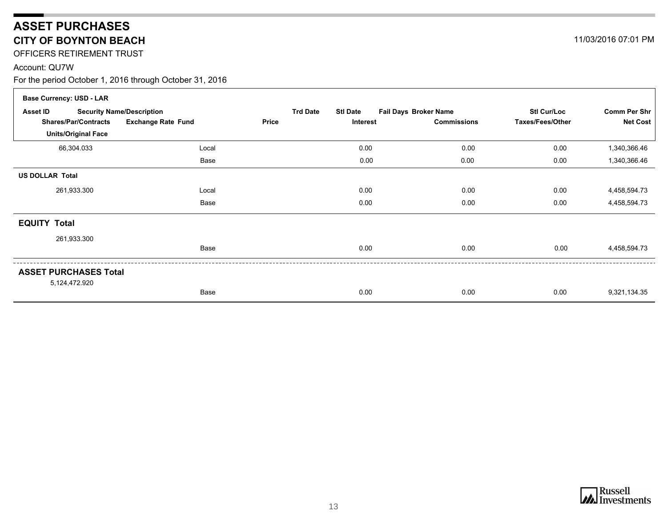# **ASSET PURCHASES CITY OF BOYNTON BEACH**

OFFICERS RETIREMENT TRUST

#### Account: QU7W

| <b>Base Currency: USD - LAR</b> |                                  |                 |                 |                              |                    |                     |
|---------------------------------|----------------------------------|-----------------|-----------------|------------------------------|--------------------|---------------------|
| Asset ID                        | <b>Security Name/Description</b> | <b>Trd Date</b> | <b>Stl Date</b> | <b>Fail Days Broker Name</b> | <b>Stl Cur/Loc</b> | <b>Comm Per Shr</b> |
| <b>Shares/Par/Contracts</b>     | <b>Exchange Rate Fund</b>        | Price           | Interest        | <b>Commissions</b>           | Taxes/Fees/Other   | <b>Net Cost</b>     |
| <b>Units/Original Face</b>      |                                  |                 |                 |                              |                    |                     |
| 66,304.033                      | Local                            |                 | 0.00            | 0.00                         | 0.00               | 1,340,366.46        |
|                                 | Base                             |                 | 0.00            | 0.00                         | 0.00               | 1,340,366.46        |
| <b>US DOLLAR Total</b>          |                                  |                 |                 |                              |                    |                     |
| 261,933.300                     | Local                            |                 | 0.00            | 0.00                         | 0.00               | 4,458,594.73        |
|                                 | Base                             |                 | 0.00            | 0.00                         | 0.00               | 4,458,594.73        |
| <b>EQUITY Total</b>             |                                  |                 |                 |                              |                    |                     |
| 261,933.300                     |                                  |                 |                 |                              |                    |                     |
|                                 | Base                             |                 | 0.00            | 0.00                         | 0.00               | 4,458,594.73        |
| <b>ASSET PURCHASES Total</b>    |                                  |                 |                 |                              |                    |                     |
| 5,124,472.920                   |                                  |                 |                 |                              |                    |                     |
|                                 | Base                             |                 | 0.00            | 0.00                         | 0.00               | 9,321,134.35        |

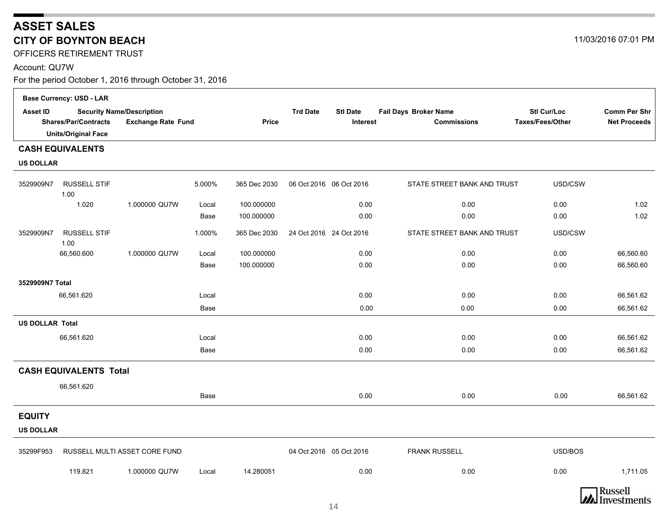# **ASSET SALES CITY OF BOYNTON BEACH**

OFFICERS RETIREMENT TRUST

#### Account: QU7W

For the period October 1, 2016 through October 31, 2016

|                        | <b>Base Currency: USD - LAR</b> |                                                               |        |              |                          |                             |                                             |                                        |                                            |
|------------------------|---------------------------------|---------------------------------------------------------------|--------|--------------|--------------------------|-----------------------------|---------------------------------------------|----------------------------------------|--------------------------------------------|
| <b>Asset ID</b>        | <b>Shares/Par/Contracts</b>     | <b>Security Name/Description</b><br><b>Exchange Rate Fund</b> |        | Price        | <b>Trd Date</b>          | <b>Stl Date</b><br>Interest | Fail Days Broker Name<br><b>Commissions</b> | <b>Stl Cur/Loc</b><br>Taxes/Fees/Other | <b>Comm Per Shr</b><br><b>Net Proceeds</b> |
|                        | <b>Units/Original Face</b>      |                                                               |        |              |                          |                             |                                             |                                        |                                            |
|                        | <b>CASH EQUIVALENTS</b>         |                                                               |        |              |                          |                             |                                             |                                        |                                            |
| <b>US DOLLAR</b>       |                                 |                                                               |        |              |                          |                             |                                             |                                        |                                            |
| 3529909N7              | <b>RUSSELL STIF</b><br>1.00     |                                                               | 5.000% | 365 Dec 2030 | 06 Oct 2016  06 Oct 2016 |                             | STATE STREET BANK AND TRUST                 | USD/CSW                                |                                            |
|                        | 1.020                           | 1.000000 QU7W                                                 | Local  | 100.000000   |                          | 0.00                        | 0.00                                        | 0.00                                   | 1.02                                       |
|                        |                                 |                                                               | Base   | 100.000000   |                          | 0.00                        | 0.00                                        | 0.00                                   | 1.02                                       |
| 3529909N7              | <b>RUSSELL STIF</b><br>1.00     |                                                               | 1.000% | 365 Dec 2030 | 24 Oct 2016 24 Oct 2016  |                             | STATE STREET BANK AND TRUST                 | USD/CSW                                |                                            |
|                        | 66,560.600                      | 1.000000 QU7W                                                 | Local  | 100.000000   |                          | 0.00                        | 0.00                                        | 0.00                                   | 66,560.60                                  |
|                        |                                 |                                                               | Base   | 100.000000   |                          | 0.00                        | 0.00                                        | 0.00                                   | 66,560.60                                  |
| 3529909N7 Total        |                                 |                                                               |        |              |                          |                             |                                             |                                        |                                            |
|                        | 66,561.620                      |                                                               | Local  |              |                          | 0.00                        | 0.00                                        | 0.00                                   | 66,561.62                                  |
|                        |                                 |                                                               | Base   |              |                          | 0.00                        | 0.00                                        | 0.00                                   | 66,561.62                                  |
| <b>US DOLLAR Total</b> |                                 |                                                               |        |              |                          |                             |                                             |                                        |                                            |
|                        | 66,561.620                      |                                                               | Local  |              |                          | 0.00                        | 0.00                                        | 0.00                                   | 66,561.62                                  |
|                        |                                 |                                                               | Base   |              |                          | 0.00                        | 0.00                                        | 0.00                                   | 66,561.62                                  |
|                        | <b>CASH EQUIVALENTS Total</b>   |                                                               |        |              |                          |                             |                                             |                                        |                                            |
|                        | 66,561.620                      |                                                               |        |              |                          |                             |                                             |                                        |                                            |
|                        |                                 |                                                               | Base   |              |                          | 0.00                        | 0.00                                        | 0.00                                   | 66,561.62                                  |
| <b>EQUITY</b>          |                                 |                                                               |        |              |                          |                             |                                             |                                        |                                            |
| <b>US DOLLAR</b>       |                                 |                                                               |        |              |                          |                             |                                             |                                        |                                            |
| 35299F953              |                                 | RUSSELL MULTI ASSET CORE FUND                                 |        |              | 04 Oct 2016 05 Oct 2016  |                             | <b>FRANK RUSSELL</b>                        | USD/BOS                                |                                            |
|                        | 119.821                         | 1.000000 QU7W                                                 | Local  | 14.280051    |                          | 0.00                        | 0.00                                        | 0.00                                   | 1,711.05                                   |



14

11/03/2016 07:01 PM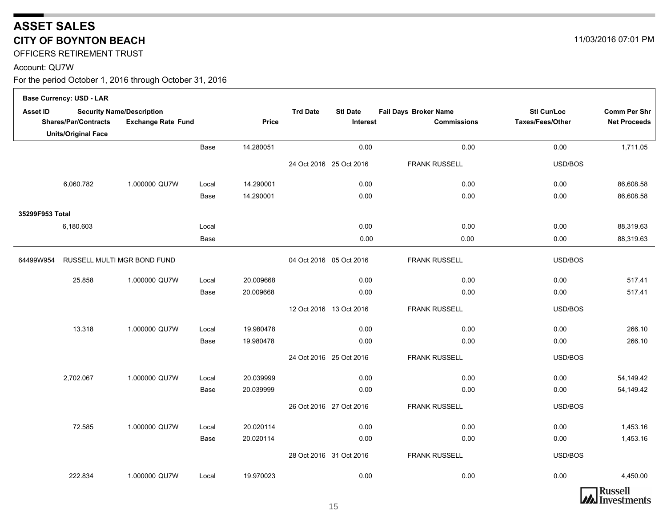# **ASSET SALES CITY OF BOYNTON BEACH**

OFFICERS RETIREMENT TRUST

#### Account: QU7W

For the period October 1, 2016 through October 31, 2016

|                 | <b>Base Currency: USD - LAR</b> |                                                               |       |              |                         |                             |                                                    |                                 |                                            |
|-----------------|---------------------------------|---------------------------------------------------------------|-------|--------------|-------------------------|-----------------------------|----------------------------------------------------|---------------------------------|--------------------------------------------|
| <b>Asset ID</b> | <b>Shares/Par/Contracts</b>     | <b>Security Name/Description</b><br><b>Exchange Rate Fund</b> |       | <b>Price</b> | <b>Trd Date</b>         | <b>Stl Date</b><br>Interest | <b>Fail Days Broker Name</b><br><b>Commissions</b> | Stl Cur/Loc<br>Taxes/Fees/Other | <b>Comm Per Shr</b><br><b>Net Proceeds</b> |
|                 | <b>Units/Original Face</b>      |                                                               |       |              |                         |                             |                                                    |                                 |                                            |
|                 |                                 |                                                               | Base  | 14.280051    |                         | 0.00                        | 0.00                                               | 0.00                            | 1,711.05                                   |
|                 |                                 |                                                               |       |              |                         | 24 Oct 2016 25 Oct 2016     | <b>FRANK RUSSELL</b>                               | USD/BOS                         |                                            |
|                 | 6,060.782                       | 1.000000 QU7W                                                 | Local | 14.290001    |                         | 0.00                        | 0.00                                               | 0.00                            | 86,608.58                                  |
|                 |                                 |                                                               | Base  | 14.290001    |                         | 0.00                        | 0.00                                               | 0.00                            | 86,608.58                                  |
| 35299F953 Total |                                 |                                                               |       |              |                         |                             |                                                    |                                 |                                            |
|                 | 6,180.603                       |                                                               | Local |              |                         | 0.00                        | 0.00                                               | 0.00                            | 88,319.63                                  |
|                 |                                 |                                                               | Base  |              |                         | 0.00                        | 0.00                                               | 0.00                            | 88,319.63                                  |
| 64499W954       |                                 | RUSSELL MULTI MGR BOND FUND                                   |       |              | 04 Oct 2016 05 Oct 2016 |                             | <b>FRANK RUSSELL</b>                               | USD/BOS                         |                                            |
|                 | 25.858                          | 1.000000 QU7W                                                 | Local | 20.009668    |                         | 0.00                        | 0.00                                               | 0.00                            | 517.41                                     |
|                 |                                 |                                                               | Base  | 20.009668    |                         | 0.00                        | 0.00                                               | 0.00                            | 517.41                                     |
|                 |                                 |                                                               |       |              |                         | 12 Oct 2016 13 Oct 2016     | <b>FRANK RUSSELL</b>                               | USD/BOS                         |                                            |
|                 | 13.318                          | 1.000000 QU7W                                                 | Local | 19.980478    |                         | 0.00                        | 0.00                                               | 0.00                            | 266.10                                     |
|                 |                                 |                                                               | Base  | 19.980478    |                         | 0.00                        | 0.00                                               | 0.00                            | 266.10                                     |
|                 |                                 |                                                               |       |              |                         | 24 Oct 2016 25 Oct 2016     | <b>FRANK RUSSELL</b>                               | USD/BOS                         |                                            |
|                 | 2,702.067                       | 1.000000 QU7W                                                 | Local | 20.039999    |                         | 0.00                        | 0.00                                               | 0.00                            | 54,149.42                                  |
|                 |                                 |                                                               | Base  | 20.039999    |                         | 0.00                        | 0.00                                               | 0.00                            | 54,149.42                                  |
|                 |                                 |                                                               |       |              |                         | 26 Oct 2016 27 Oct 2016     | <b>FRANK RUSSELL</b>                               | USD/BOS                         |                                            |
|                 | 72.585                          | 1.000000 QU7W                                                 | Local | 20.020114    |                         | 0.00                        | 0.00                                               | 0.00                            | 1,453.16                                   |
|                 |                                 |                                                               | Base  | 20.020114    |                         | 0.00                        | 0.00                                               | 0.00                            | 1,453.16                                   |
|                 |                                 |                                                               |       |              |                         | 28 Oct 2016 31 Oct 2016     | <b>FRANK RUSSELL</b>                               | USD/BOS                         |                                            |
|                 | 222.834                         | 1.000000 QU7W                                                 | Local | 19.970023    |                         | 0.00                        | 0.00                                               | 0.00                            | 4,450.00                                   |
|                 |                                 |                                                               |       |              |                         |                             |                                                    |                                 |                                            |

11/03/2016 07:01 PM

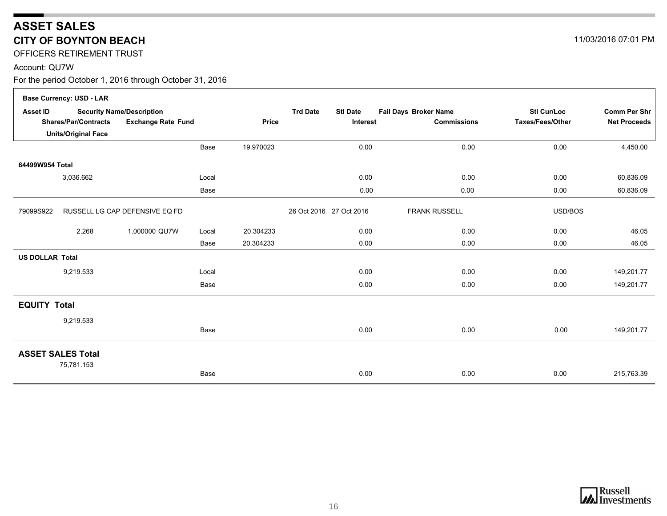# **ASSET SALES CITY OF BOYNTON BEACH**

OFFICERS RETIREMENT TRUST

#### Account: QU7W

For the period October 1, 2016 through October 31, 2016

|                        | <b>Base Currency: USD - LAR</b>                          |                                  |              |           |                                    |                       |                     |                     |
|------------------------|----------------------------------------------------------|----------------------------------|--------------|-----------|------------------------------------|-----------------------|---------------------|---------------------|
| Asset ID               |                                                          | <b>Security Name/Description</b> |              |           | <b>Trd Date</b><br><b>Stl Date</b> | Fail Days Broker Name | <b>Stl Cur/Loc</b>  | <b>Comm Per Shr</b> |
|                        | <b>Shares/Par/Contracts</b><br><b>Exchange Rate Fund</b> |                                  | <b>Price</b> | Interest  | <b>Commissions</b>                 | Taxes/Fees/Other      | <b>Net Proceeds</b> |                     |
|                        | <b>Units/Original Face</b>                               |                                  |              |           |                                    |                       |                     |                     |
|                        |                                                          |                                  | Base         | 19.970023 | 0.00                               | 0.00                  | 0.00                | 4,450.00            |
| 64499W954 Total        |                                                          |                                  |              |           |                                    |                       |                     |                     |
|                        | 3,036.662                                                |                                  | Local        |           | 0.00                               | 0.00                  | 0.00                | 60,836.09           |
|                        |                                                          |                                  | Base         |           | 0.00                               | 0.00                  | 0.00                | 60,836.09           |
| 79099S922              |                                                          | RUSSELL LG CAP DEFENSIVE EQ FD   |              |           | 26 Oct 2016 27 Oct 2016            | <b>FRANK RUSSELL</b>  | USD/BOS             |                     |
|                        | 2.268                                                    | 1.000000 QU7W                    | Local        | 20.304233 | 0.00                               | 0.00                  | 0.00                | 46.05               |
|                        |                                                          |                                  | Base         | 20.304233 | 0.00                               | 0.00                  | 0.00                | 46.05               |
| <b>US DOLLAR Total</b> |                                                          |                                  |              |           |                                    |                       |                     |                     |
|                        | 9,219.533                                                |                                  | Local        |           | 0.00                               | 0.00                  | 0.00                | 149,201.77          |
|                        |                                                          |                                  | Base         |           | 0.00                               | 0.00                  | 0.00                | 149,201.77          |
| <b>EQUITY Total</b>    |                                                          |                                  |              |           |                                    |                       |                     |                     |
|                        | 9,219.533                                                |                                  |              |           |                                    |                       |                     |                     |
|                        |                                                          |                                  | Base         |           | 0.00                               | 0.00                  | 0.00                | 149,201.77          |
|                        | <b>ASSET SALES Total</b><br>75,781.153                   |                                  |              |           |                                    |                       |                     |                     |
|                        |                                                          |                                  | Base         |           | 0.00                               | 0.00                  | 0.00                | 215,763.39          |



11/03/2016 07:01 PM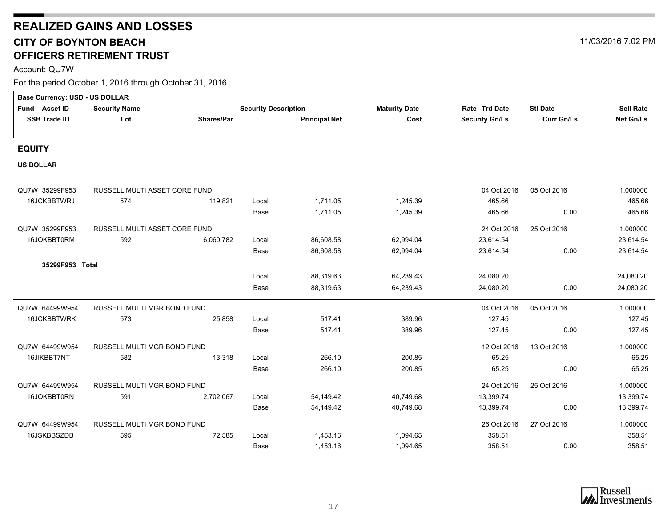# <span id="page-16-0"></span>**REALIZED GAINS AND LOSSES CITY OF BOYNTON BEACH** 11/03/2016 7:02 PM **OFFICERS RETIREMENT TRUST**

Account: QU7W

| Base Currency: USD - US DOLLAR |                               |                   |                             |           |                      |                       |                   |                  |
|--------------------------------|-------------------------------|-------------------|-----------------------------|-----------|----------------------|-----------------------|-------------------|------------------|
| Fund Asset ID                  | <b>Security Name</b>          |                   | <b>Security Description</b> |           | <b>Maturity Date</b> | Rate Trd Date         | <b>Stl Date</b>   | <b>Sell Rate</b> |
| <b>SSB Trade ID</b>            | Lot                           | <b>Shares/Par</b> | <b>Principal Net</b>        |           | Cost                 | <b>Security Gn/Ls</b> | <b>Curr Gn/Ls</b> | Net Gn/Ls        |
|                                |                               |                   |                             |           |                      |                       |                   |                  |
| <b>EQUITY</b>                  |                               |                   |                             |           |                      |                       |                   |                  |
| <b>US DOLLAR</b>               |                               |                   |                             |           |                      |                       |                   |                  |
| QU7W 35299F953                 | RUSSELL MULTI ASSET CORE FUND |                   |                             |           |                      | 04 Oct 2016           | 05 Oct 2016       | 1.000000         |
| 16JCKBBTWRJ                    | 574                           | 119.821           | Local                       | 1,711.05  | 1,245.39             | 465.66                |                   | 465.66           |
|                                |                               |                   | Base                        | 1,711.05  | 1,245.39             | 465.66                | 0.00              | 465.66           |
| QU7W 35299F953                 | RUSSELL MULTI ASSET CORE FUND |                   |                             |           |                      | 24 Oct 2016           | 25 Oct 2016       | 1.000000         |
| 16JQKBBT0RM                    | 592                           | 6,060.782         | Local                       | 86,608.58 | 62,994.04            | 23,614.54             |                   | 23,614.54        |
|                                |                               |                   | Base                        | 86,608.58 | 62,994.04            | 23,614.54             | 0.00              | 23,614.54        |
| 35299F953 Total                |                               |                   |                             |           |                      |                       |                   |                  |
|                                |                               |                   | Local                       | 88,319.63 | 64,239.43            | 24,080.20             |                   | 24,080.20        |
|                                |                               |                   | Base                        | 88,319.63 | 64,239.43            | 24,080.20             | 0.00              | 24,080.20        |
| QU7W 64499W954                 | RUSSELL MULTI MGR BOND FUND   |                   |                             |           |                      | 04 Oct 2016           | 05 Oct 2016       | 1.000000         |
| 16JCKBBTWRK                    | 573                           | 25.858            | Local                       | 517.41    | 389.96               | 127.45                |                   | 127.45           |
|                                |                               |                   | Base                        | 517.41    | 389.96               | 127.45                | 0.00              | 127.45           |
| QU7W 64499W954                 | RUSSELL MULTI MGR BOND FUND   |                   |                             |           |                      | 12 Oct 2016           | 13 Oct 2016       | 1.000000         |
| 16JIKBBT7NT                    | 582                           | 13.318            | Local                       | 266.10    | 200.85               | 65.25                 |                   | 65.25            |
|                                |                               |                   | Base                        | 266.10    | 200.85               | 65.25                 | 0.00              | 65.25            |
| QU7W 64499W954                 | RUSSELL MULTI MGR BOND FUND   |                   |                             |           |                      | 24 Oct 2016           | 25 Oct 2016       | 1.000000         |
| 16JQKBBT0RN                    | 591                           | 2,702.067         | Local                       | 54,149.42 | 40,749.68            | 13,399.74             |                   | 13,399.74        |
|                                |                               |                   | Base                        | 54,149.42 | 40,749.68            | 13,399.74             | 0.00              | 13,399.74        |
| QU7W 64499W954                 | RUSSELL MULTI MGR BOND FUND   |                   |                             |           |                      | 26 Oct 2016           | 27 Oct 2016       | 1.000000         |
| 16JSKBBSZDB                    | 595                           | 72.585            | Local                       | 1,453.16  | 1,094.65             | 358.51                |                   | 358.51           |
|                                |                               |                   | Base                        | 1,453.16  | 1,094.65             | 358.51                | 0.00              | 358.51           |

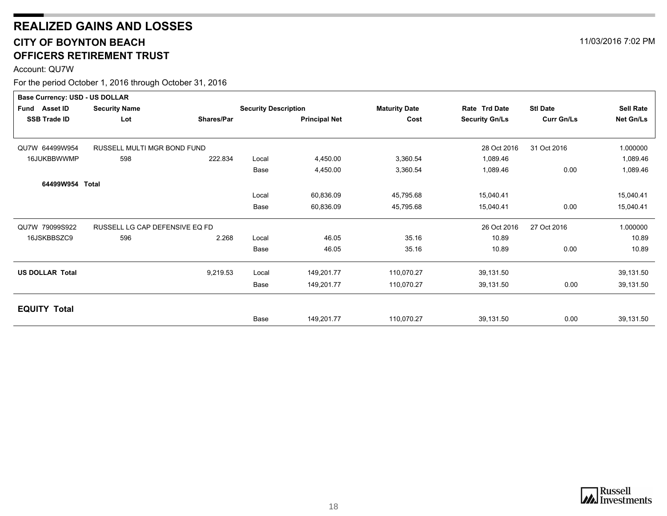# **REALIZED GAINS AND LOSSES CITY OF BOYNTON BEACH** 11/03/2016 7:02 PM **OFFICERS RETIREMENT TRUST**

Account: QU7W

| <b>Sell Rate</b><br>Net Gn/Ls |
|-------------------------------|
|                               |
|                               |
|                               |
| 1.000000                      |
| 1,089.46                      |
| 1,089.46                      |
|                               |
| 15,040.41                     |
| 15,040.41                     |
| 1.000000                      |
| 10.89                         |
| 10.89                         |
| 39,131.50                     |
| 39,131.50                     |
|                               |
| 39,131.50                     |
|                               |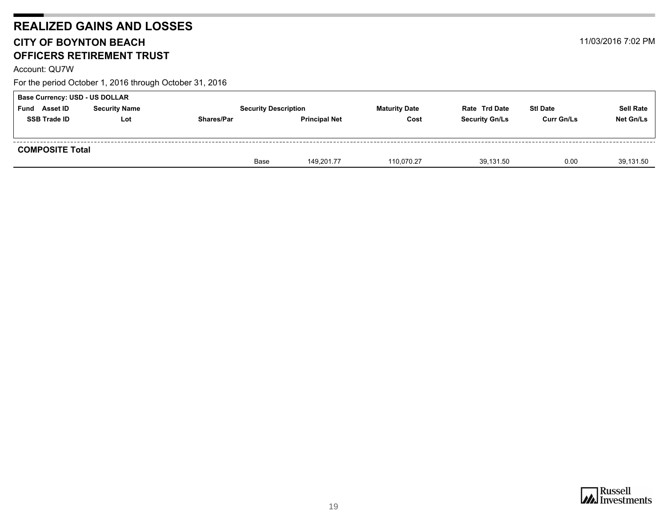# **REALIZED GAINS AND LOSSES CITY OF BOYNTON BEACH** 11/03/2016 7:02 PM **OFFICERS RETIREMENT TRUST**

Account: QU7W

|                         | <b>Base Currency: USD - US DOLLAR</b> |                   |                             |                      |                       |                   |                  |  |  |  |  |
|-------------------------|---------------------------------------|-------------------|-----------------------------|----------------------|-----------------------|-------------------|------------------|--|--|--|--|
| <b>Asset ID</b><br>Fund | <b>Security Name</b>                  |                   | <b>Security Description</b> | <b>Maturity Date</b> | <b>Rate Trd Date</b>  | <b>Stl Date</b>   | <b>Sell Rate</b> |  |  |  |  |
| <b>SSB Trade ID</b>     | Lot                                   | <b>Shares/Par</b> | <b>Principal Net</b>        | Cost                 | <b>Security Gn/Ls</b> | <b>Curr Gn/Ls</b> | Net Gn/Ls        |  |  |  |  |
|                         |                                       |                   |                             |                      |                       |                   |                  |  |  |  |  |
| <b>COMPOSITE Total</b>  |                                       |                   |                             |                      |                       |                   |                  |  |  |  |  |
|                         |                                       | Base              | 149.201.77                  | 110,070.27           | 39,131.50             | 0.00              | 39,131.50        |  |  |  |  |

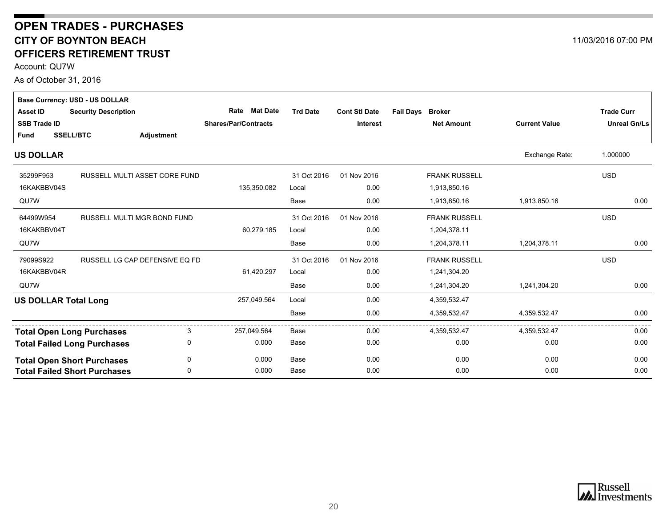### <span id="page-19-0"></span>**CITY OF BOYNTON BEACH OFFICERS RETIREMENT TRUST OPEN TRADES - PURCHASES**

Account: QU7W

As of October 31, 2016

|                             | <b>Base Currency: USD - US DOLLAR</b> |                   |                             |                 |                      |                                   |                      |                     |
|-----------------------------|---------------------------------------|-------------------|-----------------------------|-----------------|----------------------|-----------------------------------|----------------------|---------------------|
| <b>Asset ID</b>             | <b>Security Description</b>           |                   | <b>Mat Date</b><br>Rate     | <b>Trd Date</b> | <b>Cont Stl Date</b> | <b>Fail Days</b><br><b>Broker</b> |                      | <b>Trade Curr</b>   |
| <b>SSB Trade ID</b>         |                                       |                   | <b>Shares/Par/Contracts</b> |                 | <b>Interest</b>      | <b>Net Amount</b>                 | <b>Current Value</b> | <b>Unreal Gn/Ls</b> |
| Fund                        | <b>SSELL/BTC</b>                      | <b>Adjustment</b> |                             |                 |                      |                                   |                      |                     |
| <b>US DOLLAR</b>            |                                       |                   |                             |                 |                      |                                   | Exchange Rate:       | 1.000000            |
| 35299F953                   | RUSSELL MULTI ASSET CORE FUND         |                   |                             | 31 Oct 2016     | 01 Nov 2016          | <b>FRANK RUSSELL</b>              |                      | <b>USD</b>          |
| 16KAKBBV04S                 |                                       |                   | 135,350.082                 | Local           | 0.00                 | 1,913,850.16                      |                      |                     |
| QU7W                        |                                       |                   |                             | <b>Base</b>     | 0.00                 | 1,913,850.16                      | 1,913,850.16         | 0.00                |
| 64499W954                   | RUSSELL MULTI MGR BOND FUND           |                   |                             | 31 Oct 2016     | 01 Nov 2016          | <b>FRANK RUSSELL</b>              |                      | <b>USD</b>          |
| 16KAKBBV04T                 |                                       |                   | 60,279.185                  | Local           | 0.00                 | 1,204,378.11                      |                      |                     |
| QU7W                        |                                       |                   |                             | Base            | 0.00                 | 1,204,378.11                      | 1,204,378.11         | 0.00                |
| 79099S922                   | RUSSELL LG CAP DEFENSIVE EQ FD        |                   |                             | 31 Oct 2016     | 01 Nov 2016          | <b>FRANK RUSSELL</b>              |                      | <b>USD</b>          |
| 16KAKBBV04R                 |                                       |                   | 61,420.297                  | Local           | 0.00                 | 1,241,304.20                      |                      |                     |
| QU7W                        |                                       |                   |                             | <b>Base</b>     | 0.00                 | 1,241,304.20                      | 1,241,304.20         | 0.00                |
| <b>US DOLLAR Total Long</b> |                                       |                   | 257,049.564                 | Local           | 0.00                 | 4,359,532.47                      |                      |                     |
|                             |                                       |                   |                             | <b>Base</b>     | 0.00                 | 4,359,532.47                      | 4,359,532.47         | 0.00                |
|                             | <b>Total Open Long Purchases</b>      | 3                 | 257,049.564                 | Base            | 0.00                 | 4,359,532.47                      | 4,359,532.47         | 0.00                |
|                             | <b>Total Failed Long Purchases</b>    | 0                 | 0.000                       | Base            | 0.00                 | 0.00                              | 0.00                 | 0.00                |
|                             | <b>Total Open Short Purchases</b>     | 0                 | 0.000                       | Base            | 0.00                 | 0.00                              | 0.00                 | 0.00                |
|                             | <b>Total Failed Short Purchases</b>   | $\mathbf 0$       | 0.000                       | <b>Base</b>     | 0.00                 | 0.00                              | 0.00                 | 0.00                |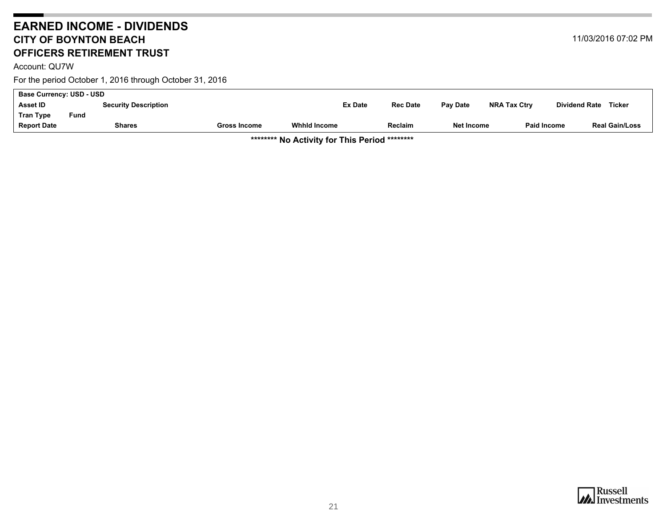### <span id="page-20-0"></span>**EARNED INCOME - DIVIDENDS CITY OF BOYNTON BEACH OFFICERS RETIREMENT TRUST**

Account: QU7W

For the period October 1, 2016 through October 31, 2016

| <b>Base Currency: USD - USD</b> |      |                             |              |                     |                 |            |                     |                      |                       |
|---------------------------------|------|-----------------------------|--------------|---------------------|-----------------|------------|---------------------|----------------------|-----------------------|
| <b>Asset ID</b>                 |      | <b>Security Description</b> |              | <b>Ex Date</b>      | <b>Rec Date</b> | Pay Date   | <b>NRA Tax Ctry</b> | <b>Dividend Rate</b> | <b>Ticker</b>         |
| <b>Tran Type</b>                | Fund |                             |              |                     |                 |            |                     |                      |                       |
| <b>Report Date</b>              |      | <b>Shares</b>               | Gross Income | <b>Whhid Income</b> | <b>Reclaim</b>  | Net Income | <b>Paid Income</b>  |                      | <b>Real Gain/Loss</b> |
|                                 |      |                             |              |                     |                 |            |                     |                      |                       |

**\*\*\*\*\*\*\*\* No Activity for This Period \*\*\*\*\*\*\*\***

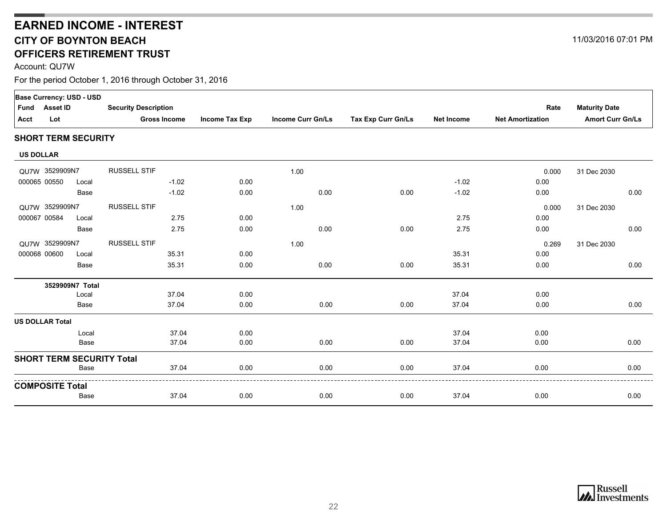## **CITY OF BOYNTON BEACH OFFICERS RETIREMENT TRUSTEARNED INCOME - INTEREST**

Account: QU7W

| Fund<br>Acct     | <b>Asset ID</b><br>Lot | Base Currency: USD - USD   | <b>Security Description</b><br><b>Gross Income</b> | <b>Income Tax Exp</b> | <b>Income Curr Gn/Ls</b> | Tax Exp Curr Gn/Ls | <b>Net Income</b> | Rate<br><b>Net Amortization</b> | <b>Maturity Date</b><br><b>Amort Curr Gn/Ls</b> |
|------------------|------------------------|----------------------------|----------------------------------------------------|-----------------------|--------------------------|--------------------|-------------------|---------------------------------|-------------------------------------------------|
|                  |                        |                            |                                                    |                       |                          |                    |                   |                                 |                                                 |
|                  |                        | <b>SHORT TERM SECURITY</b> |                                                    |                       |                          |                    |                   |                                 |                                                 |
| <b>US DOLLAR</b> |                        |                            |                                                    |                       |                          |                    |                   |                                 |                                                 |
|                  | QU7W 3529909N7         |                            | <b>RUSSELL STIF</b>                                |                       | 1.00                     |                    |                   | 0.000                           | 31 Dec 2030                                     |
| 000065 00550     |                        | Local                      | $-1.02$                                            | 0.00                  |                          |                    | $-1.02$           | 0.00                            |                                                 |
|                  |                        | Base                       | $-1.02$                                            | 0.00                  | 0.00                     | 0.00               | $-1.02$           | 0.00                            | 0.00                                            |
|                  | QU7W 3529909N7         |                            | <b>RUSSELL STIF</b>                                |                       | 1.00                     |                    |                   | 0.000                           | 31 Dec 2030                                     |
| 000067 00584     |                        | Local                      | 2.75                                               | 0.00                  |                          |                    | 2.75              | 0.00                            |                                                 |
|                  |                        | Base                       | 2.75                                               | 0.00                  | 0.00                     | 0.00               | 2.75              | 0.00                            | 0.00                                            |
|                  | QU7W 3529909N7         |                            | <b>RUSSELL STIF</b>                                |                       | 1.00                     |                    |                   | 0.269                           | 31 Dec 2030                                     |
| 000068 00600     |                        | Local                      | 35.31                                              | 0.00                  |                          |                    | 35.31             | 0.00                            |                                                 |
|                  |                        | Base                       | 35.31                                              | 0.00                  | 0.00                     | 0.00               | 35.31             | 0.00                            | 0.00                                            |
|                  |                        | 3529909N7 Total            |                                                    |                       |                          |                    |                   |                                 |                                                 |
|                  |                        | Local                      | 37.04                                              | 0.00                  |                          |                    | 37.04             | 0.00                            |                                                 |
|                  |                        | Base                       | 37.04                                              | 0.00                  | 0.00                     | 0.00               | 37.04             | 0.00                            | 0.00                                            |
|                  | <b>US DOLLAR Total</b> |                            |                                                    |                       |                          |                    |                   |                                 |                                                 |
|                  |                        | Local                      | 37.04                                              | 0.00                  |                          |                    | 37.04             | 0.00                            |                                                 |
|                  |                        | Base                       | 37.04                                              | 0.00                  | 0.00                     | 0.00               | 37.04             | 0.00                            | 0.00                                            |
|                  |                        |                            | <b>SHORT TERM SECURITY Total</b>                   |                       |                          |                    |                   |                                 |                                                 |
|                  |                        | Base                       | 37.04                                              | 0.00                  | 0.00                     | 0.00               | 37.04             | 0.00                            | 0.00                                            |
|                  | <b>COMPOSITE Total</b> |                            |                                                    |                       |                          |                    |                   |                                 |                                                 |
|                  |                        | Base                       | 37.04                                              | 0.00                  | 0.00                     | 0.00               | 37.04             | 0.00                            | 0.00                                            |
|                  |                        |                            |                                                    |                       |                          |                    |                   |                                 |                                                 |



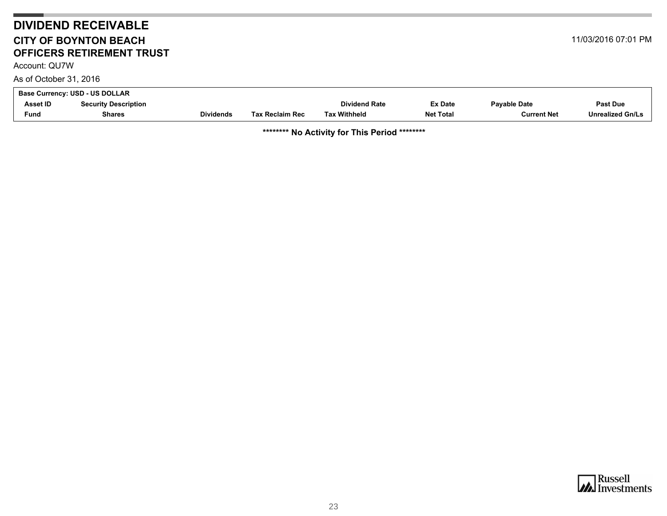# **DIVIDEND RECEIVABLE CITY OF BOYNTON BEACHOFFICERS RETIREMENT TRUST**

Account: QU7W

As of October 31, 2016

| 11/03/2016 07:01 PM |  |  |
|---------------------|--|--|
|---------------------|--|--|

<span id="page-22-0"></span>

| Asset ID<br><b>Dividend Rate</b><br>Ex Date<br><b>Security Description</b><br><b>Fund</b> | <b>Base Currency: USD - US DOLLAR</b> |               |                  |                        |                     |                  |                     |                         |
|-------------------------------------------------------------------------------------------|---------------------------------------|---------------|------------------|------------------------|---------------------|------------------|---------------------|-------------------------|
|                                                                                           |                                       |               |                  |                        |                     |                  | <b>Payable Date</b> | <b>Past Due</b>         |
|                                                                                           |                                       | <b>Shares</b> | <b>Dividends</b> | <b>Tax Reclaim Rec</b> | <b>Tax Withheld</b> | <b>Net Total</b> | <b>Current Net</b>  | <b>Unrealized Gn/Ls</b> |

**\*\*\*\*\*\*\*\* No Activity for This Period \*\*\*\*\*\*\*\***

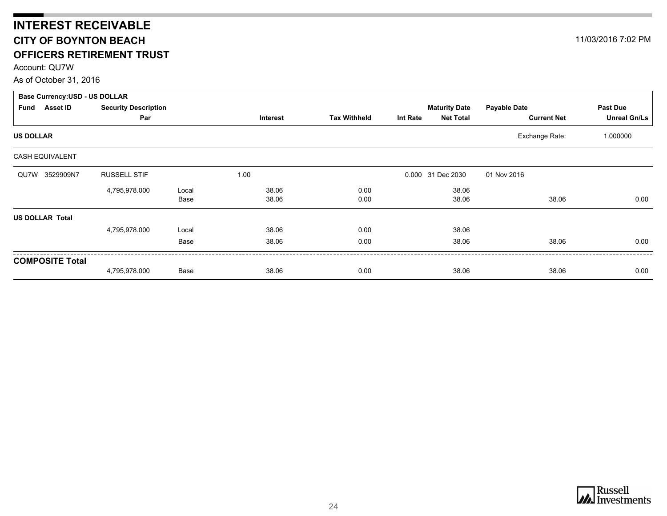# <span id="page-23-0"></span>**INTEREST RECEIVABLE CITY OF BOYNTON BEACH OFFICERS RETIREMENT TRUST**

Account: QU7W

As of October 31, 2016

| <b>Base Currency: USD - US DOLLAR</b> |                             |       |          |                     |          |                      |                     |                     |
|---------------------------------------|-----------------------------|-------|----------|---------------------|----------|----------------------|---------------------|---------------------|
| Asset ID<br>Fund                      | <b>Security Description</b> |       |          |                     |          | <b>Maturity Date</b> | <b>Payable Date</b> | Past Due            |
|                                       | Par                         |       | Interest | <b>Tax Withheld</b> | Int Rate | <b>Net Total</b>     | <b>Current Net</b>  | <b>Unreal Gn/Ls</b> |
| <b>US DOLLAR</b>                      |                             |       |          |                     |          |                      | Exchange Rate:      | 1.000000            |
| <b>CASH EQUIVALENT</b>                |                             |       |          |                     |          |                      |                     |                     |
| 3529909N7<br>QU7W                     | <b>RUSSELL STIF</b>         |       | 1.00     |                     |          | 0.000 31 Dec 2030    | 01 Nov 2016         |                     |
|                                       | 4,795,978.000               | Local | 38.06    | 0.00                |          | 38.06                |                     |                     |
|                                       |                             | Base  | 38.06    | 0.00                |          | 38.06                | 38.06               | 0.00                |
| <b>US DOLLAR Total</b>                |                             |       |          |                     |          |                      |                     |                     |
|                                       | 4,795,978.000               | Local | 38.06    | 0.00                |          | 38.06                |                     |                     |
|                                       |                             | Base  | 38.06    | 0.00                |          | 38.06                | 38.06               | 0.00                |
| <b>COMPOSITE Total</b>                |                             |       |          |                     |          |                      |                     |                     |
|                                       | 4,795,978.000               | Base  | 38.06    | 0.00                |          | 38.06                | 38.06               | 0.00                |

11/03/2016 7:02 PM

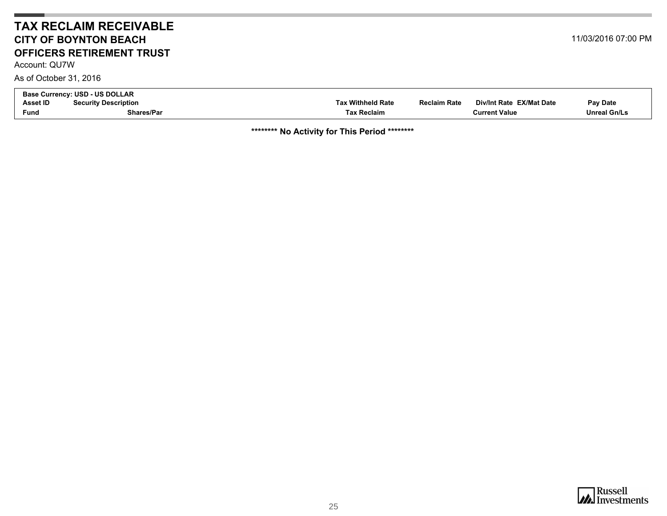#### **TAX RECLAIM RECEIVABLECITY OF BOYNTON BEACHOFFICERS RETIREMENT TRUST**

<span id="page-24-0"></span>Account: QU7W

As of October 31, 2016

| <b>Base Currency: USD - US DOLLAR</b> |                             |                          |                                                 |                     |  |  |
|---------------------------------------|-----------------------------|--------------------------|-------------------------------------------------|---------------------|--|--|
| <b>Asset ID</b>                       | <b>Security Description</b> | <b>Tax Withheld Rate</b> | Div/Int Rate EX/Mat Date<br><b>Reclaim Rate</b> | Pay Date            |  |  |
| Fund                                  | Shares/Par                  | Tax Reclaim              | <b>Current Value</b>                            | <b>Unreal Gn/Ls</b> |  |  |

**\*\*\*\*\*\*\*\* No Activity for This Period \*\*\*\*\*\*\*\***



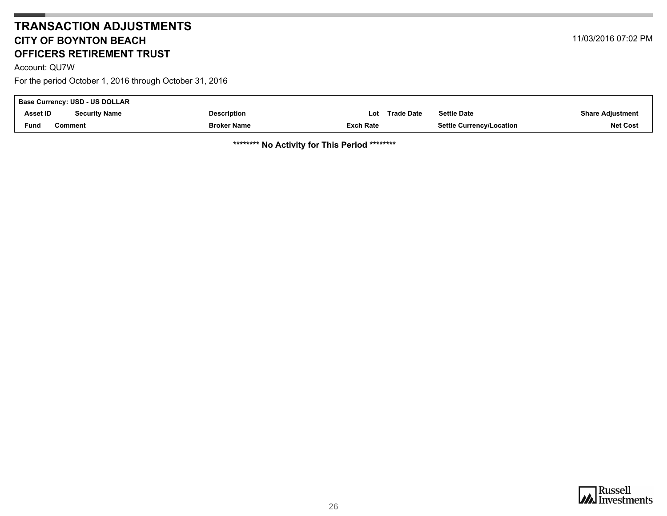## **TRANSACTION ADJUSTMENTSCITY OF BOYNTON BEACHOFFICERS RETIREMENT TRUST**

<span id="page-25-0"></span>Account: QU7W

For the period October 1, 2016 through October 31, 2016

| Base Currency: USD - US DOLLAR |                      |                    |                  |            |                                 |                         |
|--------------------------------|----------------------|--------------------|------------------|------------|---------------------------------|-------------------------|
| <b>Asset ID</b>                | <b>Security Name</b> | <b>Description</b> | Lot              | Trade Date | <b>Settle Date</b>              | <b>Share Adjustment</b> |
| Fund                           | Comment              | <b>Broker Name</b> | <b>Exch Rate</b> |            | <b>Settle Currency/Location</b> | <b>Net Cost</b>         |

**\*\*\*\*\*\*\*\* No Activity for This Period \*\*\*\*\*\*\*\***